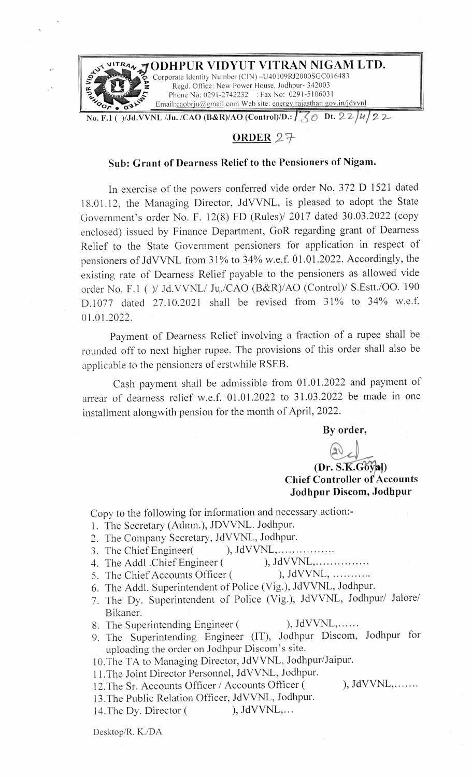

#### **0RDER** *2-~*

### **Sub: Grant of Dearness Relief to the Pensioners of Nigam.**

In exercise of the powers conferred vide order No. 372 D 1521 dated 18.01.12, the Managing Director, JdVVNL, is pleased to adopt the State Government's order No. F. 12(8) FD (Rules)/ 2017 dated 30.03.2022 (copy enclosed) issued by Finance Department, GoR regarding grant of Dearness Relief to the State Government pensioners for application in respect of pensioners of JdVVNL from 31% to 34% w.e.f. 01.01.2022. Accordingly, the existing rate of Dearness Relief payable to the pensioners as allowed vide order No. F.l ( )/ Jd.VVNL/ Ju./CAO (B&R)/AO (Control)/ S.Estt./OO. 190 D.1077 dated 27.10.2021 shall be revised from 31% to 34% w.e.f. 01.01.2022.

Payment of Dearness Relief involving a fraction of a rupee shall be rounded off to next higher rupee. The provisions of this order shall also be applicable to the pensioners of erstwhile RSEB.

Cash payment shall be admissible from 01.01.2022 and payment of arrear of dearness relief w.e.f. 01.01.2022 to 31.03.2022 be made in one installment alongwith pension for the month of April, 2022.

**By order,** 

### **(Dr. S.K.Goyal) Chief Controller of Accounts Jodhpur Discom, Jodhpur**

Copy to the following for information and necessary action:-

- 1. The Secretary (Admn.), JDVVNL. Jodhpur.
- 2. The Company Secretary, JdVVNL, Jodhpur.
- 3. The Chief Engineer(), JdVVNL, ... ... ... ...
	-
- 4. The Addl .Chief Engineer ( ), JdVVNL, ... ... ... ...<br>5. The Chief Accounts Officer ( ), JdVVNL, ... ... ...
	-
- 5. The Chief Accounts Officer ( 6. The Addl. Superintendent of Police (Vig.), JdVVNL, Jodhpur.
- 7. The Dy. Superintendent of Police (Vig.), JdVVNL, Jodhpur/ Jalore/ Bikaner.
- 8. The Superintending Engineer ( ), JdVVNL,......
- 9. The Superintending Engineer (IT), Jodhpur Discom, Jodhpur for uploading the order on Jodhpur Discom's site.

10.The TA *t9* Managing Director, JdVVNL, Jodhpur/Jaipur.

11.The Joint Director Personnel, JdVVNL, Jodhpur.

12. The Sr. Accounts Officer / Accounts Officer ( ), JdVVNL,.......

13.The Public Relation Officer, JdVVNL, Jodhpur. 14. The Dy. Director ( ), JdVVNL,...

Desktop/R. K./DA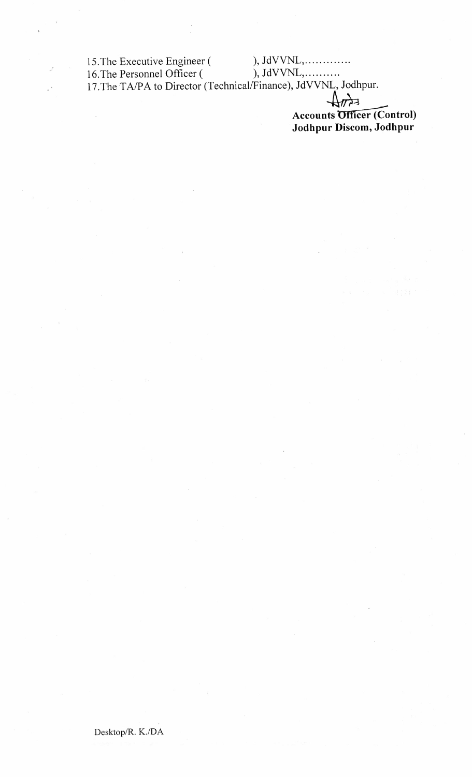15. The Executive Engineer (<br>16. The Personnel Officer (

 $\ddot{\phantom{a}}$ 

 $\bigoplus_{\mathcal{H}}$ 

Accounts Officer (Control) Jodhpur Discom, Jodhpur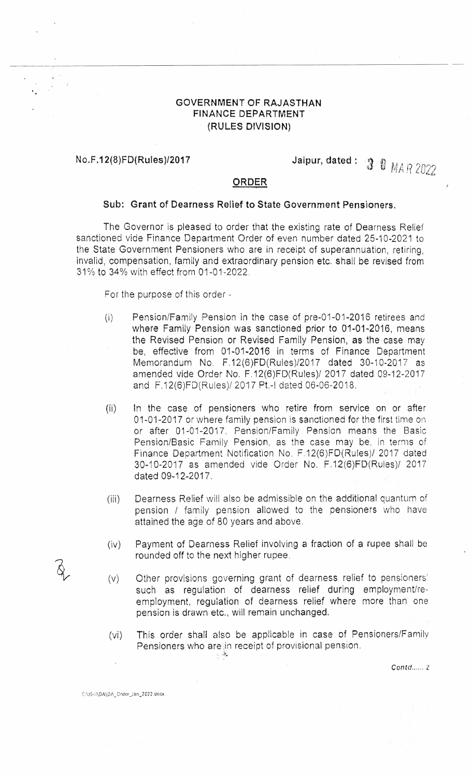#### **GOVERNMENT OF RAJASTHAN FINANCE DEPARTMENT (RULES DIVISION)**

' ..

## **No.F .12(8)FD(Rules)/2017 Jaipur, dated :** *3* 0 *MA* f? *<sup>2022</sup>*

#### **ORDER**

#### **Sub: Grant of Dearness Relief to State Government Pensioners.**

The Governor is pleased to order that the existing rate of Dearness Relief sanctioned vide Finance Department Order of even number dated 25-10-2021 to the State Government Pensioners who are in receipt of superannuation, retiring, invalid, compensation, family and extraordinary pension etc. shall be revised from 31 % to 34% with effect from 01-01-2022.

For the purpose of this order -

- (i) Pension/Family Pension in the case of pre-01-01-2016 retirees and where Family Pension was sanctioned prior to 01-01-2016, means the Revised Pension or Revised Family Pension, as the case may be, effective from 01-01-2016 in terms of Finance Department Memorandum No. F.12(6)FD(Rules)/2017 dated 30-10-2017 as amended vide Order No. F.12(6)FD(Rules)/ 2017 dated 09-12-2017 and F.12(6)FD(Rules)/ 2017 Pt.-1 dated 06-06-2018.
- (ii) In the case of pensioners who retire from service on or after 01-01-2017 or where family pension is sanctioned for the first time on or after 01-01-2017: Pension/Family Pension means the Basic Pension/Basic Family Pension, as the case may be. in terms of Finance Department Notification No. F.12(6)FD(Rules)/ 2017 dated 30-10-2017 as amended vide Order No. F.12(6)FD(Rules)/ 2017 dated 09-12-2017.
- (iii) Dearness Relief will also be admissible on the additional quantum of pension / family pension allowed to the pensioners who have attained the age of 80 years and above.
- (iv) Payment of Dearness Relief involving a fraction of a rupee shall be rounded off to the next higher rupee.
- (v) Other provisions governing grant of dearness relief to pensioners) such as regulation of dearness relief during employment/reemployment, regulation of dearness relief where more than one pension is drawn etc., will remain unchanged.
- (vi) This order shall also be applicable in case of Pensioners/Family Pensioners who arein receipt of provisional pension. e <u>i</u>n r<br>·<sup>\*</sup>

 $\text{Contd}_{\text{max}}$  2

C:\JS-il\DA\DA\_Order\_Jan\_2022.docx